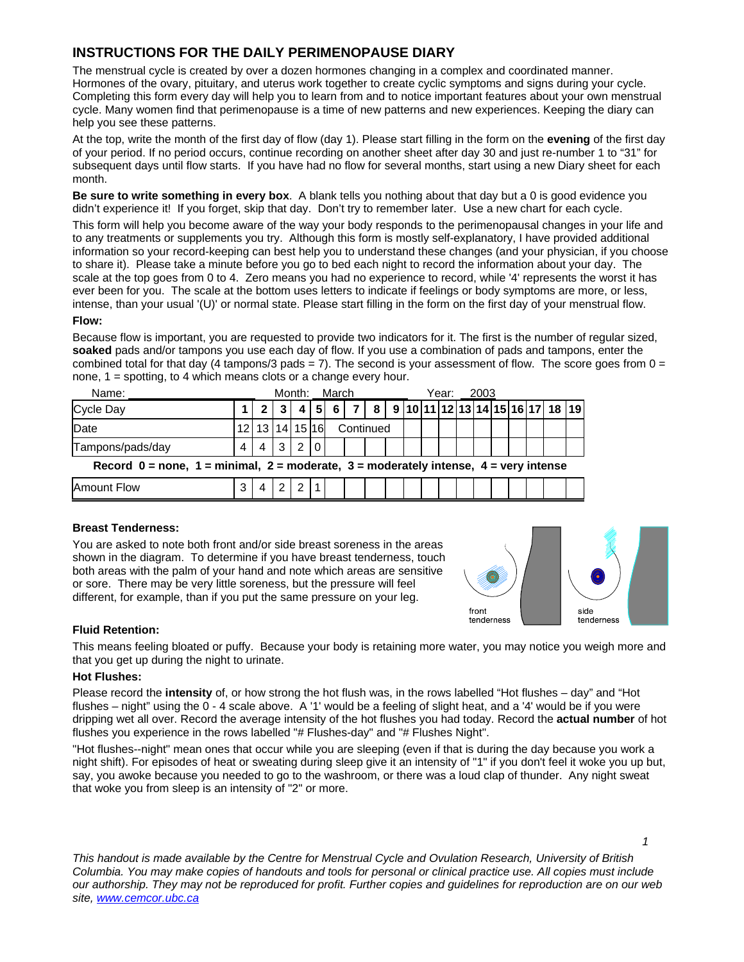# **INSTRUCTIONS FOR THE DAILY PERIMENOPAUSE DIARY**

The menstrual cycle is created by over a dozen hormones changing in a complex and coordinated manner. Hormones of the ovary, pituitary, and uterus work together to create cyclic symptoms and signs during your cycle. Completing this form every day will help you to learn from and to notice important features about your own menstrual cycle. Many women find that perimenopause is a time of new patterns and new experiences. Keeping the diary can help you see these patterns.

At the top, write the month of the first day of flow (day 1). Please start filling in the form on the **evening** of the first day of your period. If no period occurs, continue recording on another sheet after day 30 and just re-number 1 to "31" for subsequent days until flow starts. If you have had no flow for several months, start using a new Diary sheet for each month.

**Be sure to write something in every box**. A blank tells you nothing about that day but a 0 is good evidence you didn't experience it! If you forget, skip that day. Don't try to remember later. Use a new chart for each cycle.

This form will help you become aware of the way your body responds to the perimenopausal changes in your life and to any treatments or supplements you try. Although this form is mostly self-explanatory, I have provided additional information so your record-keeping can best help you to understand these changes (and your physician, if you choose to share it). Please take a minute before you go to bed each night to record the information about your day. The scale at the top goes from 0 to 4. Zero means you had no experience to record, while '4' represents the worst it has ever been for you. The scale at the bottom uses letters to indicate if feelings or body symptoms are more, or less, intense, than your usual '(U)' or normal state. Please start filling in the form on the first day of your menstrual flow.

## **Flow:**

Because flow is important, you are requested to provide two indicators for it. The first is the number of regular sized, **soaked** pads and/or tampons you use each day of flow. If you use a combination of pads and tampons, enter the combined total for that day (4 tampons/3 pads = 7). The second is your assessment of flow. The score goes from  $0 =$ none, 1 = spotting, to 4 which means clots or a change every hour.

| Name:                                                                                          |                 |                |  | Month:<br>March |  |           |                                                                 |  | Year:<br>2003 |  |  |  |  |  |  |  |  |  |  |  |
|------------------------------------------------------------------------------------------------|-----------------|----------------|--|-----------------|--|-----------|-----------------------------------------------------------------|--|---------------|--|--|--|--|--|--|--|--|--|--|--|
| <b>Cycle Day</b>                                                                               |                 |                |  | 4 5             |  |           | 6   7   8   9   10   11   12   13   14   15   16   17   18   19 |  |               |  |  |  |  |  |  |  |  |  |  |  |
| Date                                                                                           | 12 <sub>1</sub> | 13 14 15 16    |  |                 |  | Continued |                                                                 |  |               |  |  |  |  |  |  |  |  |  |  |  |
| Tampons/pads/day                                                                               | $\overline{4}$  | $\overline{4}$ |  | $3 2 0 $        |  |           |                                                                 |  |               |  |  |  |  |  |  |  |  |  |  |  |
| Record $0 =$ none, $1 =$ minimal, $2 =$ moderate, $3 =$ moderately intense, $4 =$ very intense |                 |                |  |                 |  |           |                                                                 |  |               |  |  |  |  |  |  |  |  |  |  |  |
| <b>Amount Flow</b>                                                                             | 3               |                |  | $\overline{2}$  |  |           |                                                                 |  |               |  |  |  |  |  |  |  |  |  |  |  |

## **Breast Tenderness:**

You are asked to note both front and/or side breast soreness in the areas shown in the diagram. To determine if you have breast tenderness, touch both areas with the palm of your hand and note which areas are sensitive or sore. There may be very little soreness, but the pressure will feel different, for example, than if you put the same pressure on your leg.



## **Fluid Retention:**

This means feeling bloated or puffy. Because your body is retaining more water, you may notice you weigh more and that you get up during the night to urinate.

#### **Hot Flushes:**

Please record the **intensity** of, or how strong the hot flush was, in the rows labelled "Hot flushes – day" and "Hot flushes – night" using the 0 - 4 scale above. A '1' would be a feeling of slight heat, and a '4' would be if you were dripping wet all over. Record the average intensity of the hot flushes you had today. Record the **actual number** of hot flushes you experience in the rows labelled "# Flushes-day" and "# Flushes Night".

"Hot flushes--night" mean ones that occur while you are sleeping (even if that is during the day because you work a night shift). For episodes of heat or sweating during sleep give it an intensity of "1" if you don't feel it woke you up but, say, you awoke because you needed to go to the washroom, or there was a loud clap of thunder. Any night sweat that woke you from sleep is an intensity of "2" or more.

*This handout is made available by the Centre for Menstrual Cycle and Ovulation Research, University of British Columbia. You may make copies of handouts and tools for personal or clinical practice use. All copies must include our authorship. They may not be reproduced for profit. Further copies and guidelines for reproduction are on our web site, www.cemcor.ubc.ca*